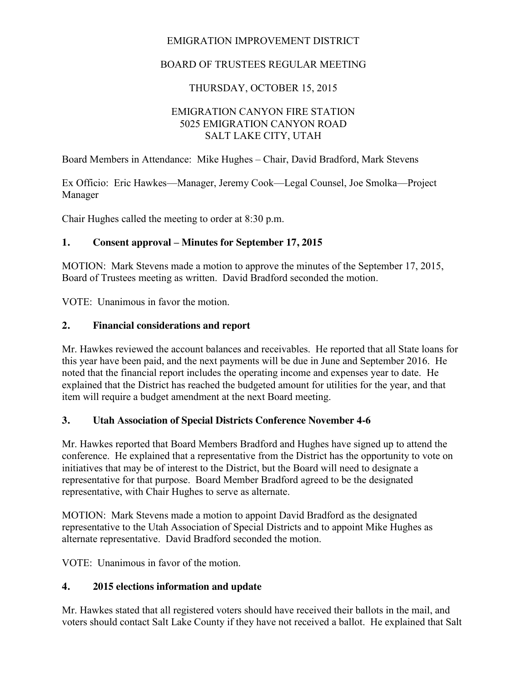# EMIGRATION IMPROVEMENT DISTRICT

# BOARD OF TRUSTEES REGULAR MEETING

# THURSDAY, OCTOBER 15, 2015

### EMIGRATION CANYON FIRE STATION 5025 EMIGRATION CANYON ROAD SALT LAKE CITY, UTAH

Board Members in Attendance: Mike Hughes – Chair, David Bradford, Mark Stevens

Ex Officio: Eric Hawkes—Manager, Jeremy Cook—Legal Counsel, Joe Smolka—Project Manager

Chair Hughes called the meeting to order at 8:30 p.m.

### **1. Consent approval – Minutes for September 17, 2015**

MOTION: Mark Stevens made a motion to approve the minutes of the September 17, 2015, Board of Trustees meeting as written. David Bradford seconded the motion.

VOTE: Unanimous in favor the motion.

### **2. Financial considerations and report**

Mr. Hawkes reviewed the account balances and receivables. He reported that all State loans for this year have been paid, and the next payments will be due in June and September 2016. He noted that the financial report includes the operating income and expenses year to date. He explained that the District has reached the budgeted amount for utilities for the year, and that item will require a budget amendment at the next Board meeting.

### **3. Utah Association of Special Districts Conference November 4-6**

Mr. Hawkes reported that Board Members Bradford and Hughes have signed up to attend the conference. He explained that a representative from the District has the opportunity to vote on initiatives that may be of interest to the District, but the Board will need to designate a representative for that purpose. Board Member Bradford agreed to be the designated representative, with Chair Hughes to serve as alternate.

MOTION: Mark Stevens made a motion to appoint David Bradford as the designated representative to the Utah Association of Special Districts and to appoint Mike Hughes as alternate representative. David Bradford seconded the motion.

VOTE: Unanimous in favor of the motion.

### **4. 2015 elections information and update**

Mr. Hawkes stated that all registered voters should have received their ballots in the mail, and voters should contact Salt Lake County if they have not received a ballot. He explained that Salt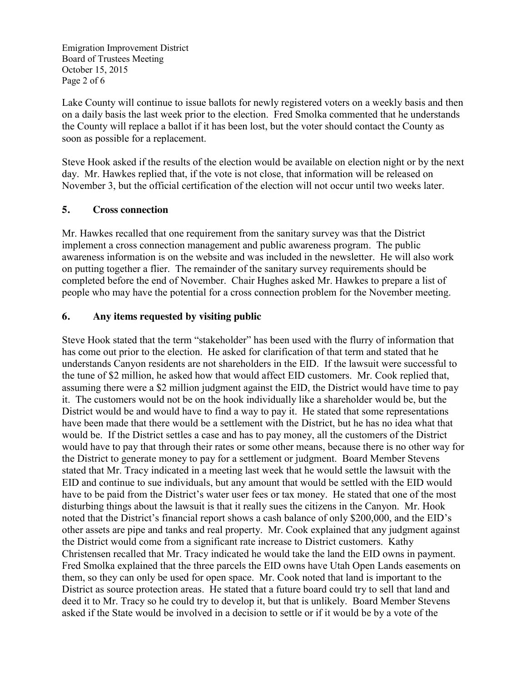Emigration Improvement District Board of Trustees Meeting October 15, 2015 Page 2 of 6

Lake County will continue to issue ballots for newly registered voters on a weekly basis and then on a daily basis the last week prior to the election. Fred Smolka commented that he understands the County will replace a ballot if it has been lost, but the voter should contact the County as soon as possible for a replacement.

Steve Hook asked if the results of the election would be available on election night or by the next day. Mr. Hawkes replied that, if the vote is not close, that information will be released on November 3, but the official certification of the election will not occur until two weeks later.

### **5. Cross connection**

Mr. Hawkes recalled that one requirement from the sanitary survey was that the District implement a cross connection management and public awareness program. The public awareness information is on the website and was included in the newsletter. He will also work on putting together a flier. The remainder of the sanitary survey requirements should be completed before the end of November. Chair Hughes asked Mr. Hawkes to prepare a list of people who may have the potential for a cross connection problem for the November meeting.

### **6. Any items requested by visiting public**

Steve Hook stated that the term "stakeholder" has been used with the flurry of information that has come out prior to the election. He asked for clarification of that term and stated that he understands Canyon residents are not shareholders in the EID. If the lawsuit were successful to the tune of \$2 million, he asked how that would affect EID customers. Mr. Cook replied that, assuming there were a \$2 million judgment against the EID, the District would have time to pay it. The customers would not be on the hook individually like a shareholder would be, but the District would be and would have to find a way to pay it. He stated that some representations have been made that there would be a settlement with the District, but he has no idea what that would be. If the District settles a case and has to pay money, all the customers of the District would have to pay that through their rates or some other means, because there is no other way for the District to generate money to pay for a settlement or judgment. Board Member Stevens stated that Mr. Tracy indicated in a meeting last week that he would settle the lawsuit with the EID and continue to sue individuals, but any amount that would be settled with the EID would have to be paid from the District's water user fees or tax money. He stated that one of the most disturbing things about the lawsuit is that it really sues the citizens in the Canyon. Mr. Hook noted that the District's financial report shows a cash balance of only \$200,000, and the EID's other assets are pipe and tanks and real property. Mr. Cook explained that any judgment against the District would come from a significant rate increase to District customers. Kathy Christensen recalled that Mr. Tracy indicated he would take the land the EID owns in payment. Fred Smolka explained that the three parcels the EID owns have Utah Open Lands easements on them, so they can only be used for open space. Mr. Cook noted that land is important to the District as source protection areas. He stated that a future board could try to sell that land and deed it to Mr. Tracy so he could try to develop it, but that is unlikely. Board Member Stevens asked if the State would be involved in a decision to settle or if it would be by a vote of the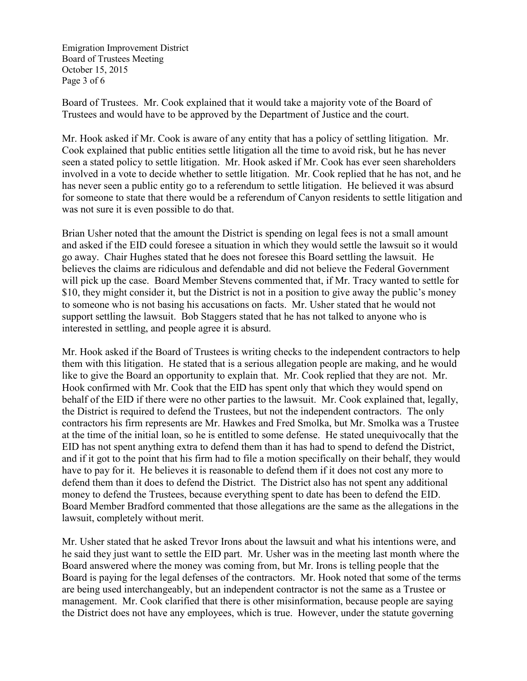Emigration Improvement District Board of Trustees Meeting October 15, 2015 Page 3 of 6

Board of Trustees. Mr. Cook explained that it would take a majority vote of the Board of Trustees and would have to be approved by the Department of Justice and the court.

Mr. Hook asked if Mr. Cook is aware of any entity that has a policy of settling litigation. Mr. Cook explained that public entities settle litigation all the time to avoid risk, but he has never seen a stated policy to settle litigation. Mr. Hook asked if Mr. Cook has ever seen shareholders involved in a vote to decide whether to settle litigation. Mr. Cook replied that he has not, and he has never seen a public entity go to a referendum to settle litigation. He believed it was absurd for someone to state that there would be a referendum of Canyon residents to settle litigation and was not sure it is even possible to do that.

Brian Usher noted that the amount the District is spending on legal fees is not a small amount and asked if the EID could foresee a situation in which they would settle the lawsuit so it would go away. Chair Hughes stated that he does not foresee this Board settling the lawsuit. He believes the claims are ridiculous and defendable and did not believe the Federal Government will pick up the case. Board Member Stevens commented that, if Mr. Tracy wanted to settle for \$10, they might consider it, but the District is not in a position to give away the public's money to someone who is not basing his accusations on facts. Mr. Usher stated that he would not support settling the lawsuit. Bob Staggers stated that he has not talked to anyone who is interested in settling, and people agree it is absurd.

Mr. Hook asked if the Board of Trustees is writing checks to the independent contractors to help them with this litigation. He stated that is a serious allegation people are making, and he would like to give the Board an opportunity to explain that. Mr. Cook replied that they are not. Mr. Hook confirmed with Mr. Cook that the EID has spent only that which they would spend on behalf of the EID if there were no other parties to the lawsuit. Mr. Cook explained that, legally, the District is required to defend the Trustees, but not the independent contractors. The only contractors his firm represents are Mr. Hawkes and Fred Smolka, but Mr. Smolka was a Trustee at the time of the initial loan, so he is entitled to some defense. He stated unequivocally that the EID has not spent anything extra to defend them than it has had to spend to defend the District, and if it got to the point that his firm had to file a motion specifically on their behalf, they would have to pay for it. He believes it is reasonable to defend them if it does not cost any more to defend them than it does to defend the District. The District also has not spent any additional money to defend the Trustees, because everything spent to date has been to defend the EID. Board Member Bradford commented that those allegations are the same as the allegations in the lawsuit, completely without merit.

Mr. Usher stated that he asked Trevor Irons about the lawsuit and what his intentions were, and he said they just want to settle the EID part. Mr. Usher was in the meeting last month where the Board answered where the money was coming from, but Mr. Irons is telling people that the Board is paying for the legal defenses of the contractors. Mr. Hook noted that some of the terms are being used interchangeably, but an independent contractor is not the same as a Trustee or management. Mr. Cook clarified that there is other misinformation, because people are saying the District does not have any employees, which is true. However, under the statute governing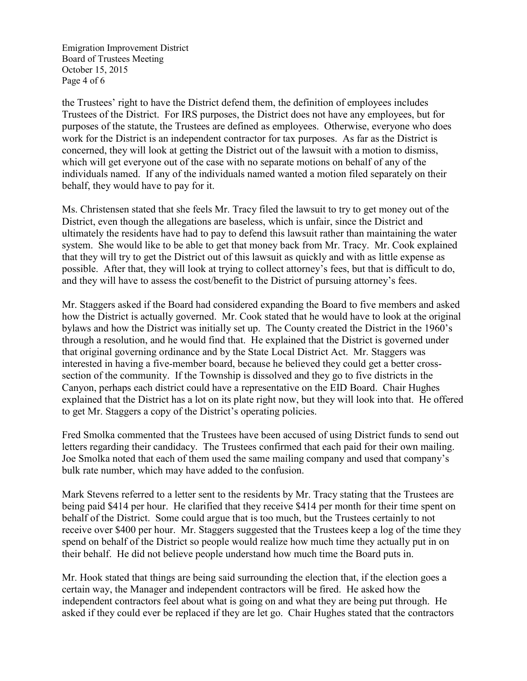Emigration Improvement District Board of Trustees Meeting October 15, 2015 Page 4 of 6

the Trustees' right to have the District defend them, the definition of employees includes Trustees of the District. For IRS purposes, the District does not have any employees, but for purposes of the statute, the Trustees are defined as employees. Otherwise, everyone who does work for the District is an independent contractor for tax purposes. As far as the District is concerned, they will look at getting the District out of the lawsuit with a motion to dismiss, which will get everyone out of the case with no separate motions on behalf of any of the individuals named. If any of the individuals named wanted a motion filed separately on their behalf, they would have to pay for it.

Ms. Christensen stated that she feels Mr. Tracy filed the lawsuit to try to get money out of the District, even though the allegations are baseless, which is unfair, since the District and ultimately the residents have had to pay to defend this lawsuit rather than maintaining the water system. She would like to be able to get that money back from Mr. Tracy. Mr. Cook explained that they will try to get the District out of this lawsuit as quickly and with as little expense as possible. After that, they will look at trying to collect attorney's fees, but that is difficult to do, and they will have to assess the cost/benefit to the District of pursuing attorney's fees.

Mr. Staggers asked if the Board had considered expanding the Board to five members and asked how the District is actually governed. Mr. Cook stated that he would have to look at the original bylaws and how the District was initially set up. The County created the District in the 1960's through a resolution, and he would find that. He explained that the District is governed under that original governing ordinance and by the State Local District Act. Mr. Staggers was interested in having a five-member board, because he believed they could get a better crosssection of the community. If the Township is dissolved and they go to five districts in the Canyon, perhaps each district could have a representative on the EID Board. Chair Hughes explained that the District has a lot on its plate right now, but they will look into that. He offered to get Mr. Staggers a copy of the District's operating policies.

Fred Smolka commented that the Trustees have been accused of using District funds to send out letters regarding their candidacy. The Trustees confirmed that each paid for their own mailing. Joe Smolka noted that each of them used the same mailing company and used that company's bulk rate number, which may have added to the confusion.

Mark Stevens referred to a letter sent to the residents by Mr. Tracy stating that the Trustees are being paid \$414 per hour. He clarified that they receive \$414 per month for their time spent on behalf of the District. Some could argue that is too much, but the Trustees certainly to not receive over \$400 per hour. Mr. Staggers suggested that the Trustees keep a log of the time they spend on behalf of the District so people would realize how much time they actually put in on their behalf. He did not believe people understand how much time the Board puts in.

Mr. Hook stated that things are being said surrounding the election that, if the election goes a certain way, the Manager and independent contractors will be fired. He asked how the independent contractors feel about what is going on and what they are being put through. He asked if they could ever be replaced if they are let go. Chair Hughes stated that the contractors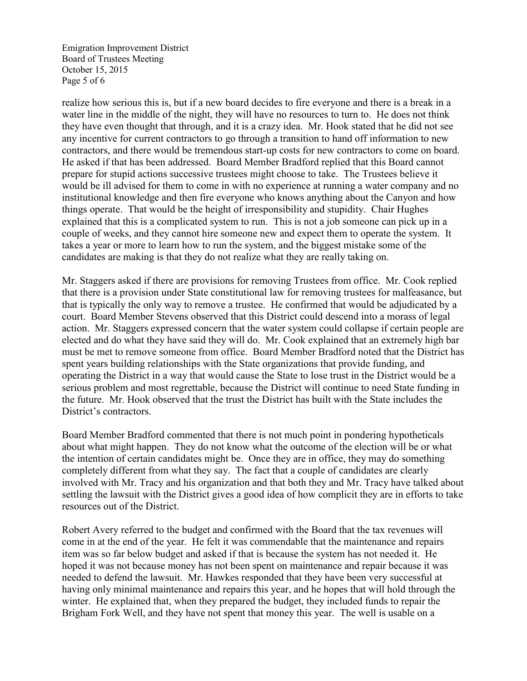Emigration Improvement District Board of Trustees Meeting October 15, 2015 Page 5 of 6

realize how serious this is, but if a new board decides to fire everyone and there is a break in a water line in the middle of the night, they will have no resources to turn to. He does not think they have even thought that through, and it is a crazy idea. Mr. Hook stated that he did not see any incentive for current contractors to go through a transition to hand off information to new contractors, and there would be tremendous start-up costs for new contractors to come on board. He asked if that has been addressed. Board Member Bradford replied that this Board cannot prepare for stupid actions successive trustees might choose to take. The Trustees believe it would be ill advised for them to come in with no experience at running a water company and no institutional knowledge and then fire everyone who knows anything about the Canyon and how things operate. That would be the height of irresponsibility and stupidity. Chair Hughes explained that this is a complicated system to run. This is not a job someone can pick up in a couple of weeks, and they cannot hire someone new and expect them to operate the system. It takes a year or more to learn how to run the system, and the biggest mistake some of the candidates are making is that they do not realize what they are really taking on.

Mr. Staggers asked if there are provisions for removing Trustees from office. Mr. Cook replied that there is a provision under State constitutional law for removing trustees for malfeasance, but that is typically the only way to remove a trustee. He confirmed that would be adjudicated by a court. Board Member Stevens observed that this District could descend into a morass of legal action. Mr. Staggers expressed concern that the water system could collapse if certain people are elected and do what they have said they will do. Mr. Cook explained that an extremely high bar must be met to remove someone from office. Board Member Bradford noted that the District has spent years building relationships with the State organizations that provide funding, and operating the District in a way that would cause the State to lose trust in the District would be a serious problem and most regrettable, because the District will continue to need State funding in the future. Mr. Hook observed that the trust the District has built with the State includes the District's contractors.

Board Member Bradford commented that there is not much point in pondering hypotheticals about what might happen. They do not know what the outcome of the election will be or what the intention of certain candidates might be. Once they are in office, they may do something completely different from what they say. The fact that a couple of candidates are clearly involved with Mr. Tracy and his organization and that both they and Mr. Tracy have talked about settling the lawsuit with the District gives a good idea of how complicit they are in efforts to take resources out of the District.

Robert Avery referred to the budget and confirmed with the Board that the tax revenues will come in at the end of the year. He felt it was commendable that the maintenance and repairs item was so far below budget and asked if that is because the system has not needed it. He hoped it was not because money has not been spent on maintenance and repair because it was needed to defend the lawsuit. Mr. Hawkes responded that they have been very successful at having only minimal maintenance and repairs this year, and he hopes that will hold through the winter. He explained that, when they prepared the budget, they included funds to repair the Brigham Fork Well, and they have not spent that money this year. The well is usable on a